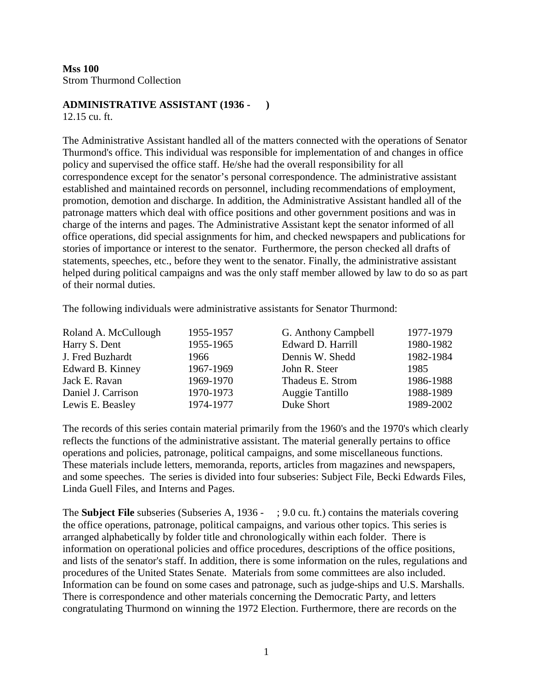**Mss 100**  Strom Thurmond Collection

#### **ADMINISTRATIVE ASSISTANT (1936 - )**

12.15 cu. ft.

The Administrative Assistant handled all of the matters connected with the operations of Senator Thurmond's office. This individual was responsible for implementation of and changes in office policy and supervised the office staff. He/she had the overall responsibility for all correspondence except for the senator's personal correspondence. The administrative assistant established and maintained records on personnel, including recommendations of employment, promotion, demotion and discharge. In addition, the Administrative Assistant handled all of the patronage matters which deal with office positions and other government positions and was in charge of the interns and pages. The Administrative Assistant kept the senator informed of all office operations, did special assignments for him, and checked newspapers and publications for stories of importance or interest to the senator. Furthermore, the person checked all drafts of statements, speeches, etc., before they went to the senator. Finally, the administrative assistant helped during political campaigns and was the only staff member allowed by law to do so as part of their normal duties.

The following individuals were administrative assistants for Senator Thurmond:

| Roland A. McCullough | 1955-1957 | G. Anthony Campbell | 1977-1979 |
|----------------------|-----------|---------------------|-----------|
| Harry S. Dent        | 1955-1965 | Edward D. Harrill   | 1980-1982 |
| J. Fred Buzhardt     | 1966      | Dennis W. Shedd     | 1982-1984 |
| Edward B. Kinney     | 1967-1969 | John R. Steer       | 1985      |
| Jack E. Ravan        | 1969-1970 | Thadeus E. Strom    | 1986-1988 |
| Daniel J. Carrison   | 1970-1973 | Auggie Tantillo     | 1988-1989 |
| Lewis E. Beasley     | 1974-1977 | Duke Short          | 1989-2002 |

The records of this series contain material primarily from the 1960's and the 1970's which clearly reflects the functions of the administrative assistant. The material generally pertains to office operations and policies, patronage, political campaigns, and some miscellaneous functions. These materials include letters, memoranda, reports, articles from magazines and newspapers, and some speeches. The series is divided into four subseries: Subject File, Becki Edwards Files, Linda Guell Files, and Interns and Pages.

The **Subject File** subseries (Subseries A, 1936 - ; 9.0 cu. ft.) contains the materials covering the office operations, patronage, political campaigns, and various other topics. This series is arranged alphabetically by folder title and chronologically within each folder. There is information on operational policies and office procedures, descriptions of the office positions, and lists of the senator's staff. In addition, there is some information on the rules, regulations and procedures of the United States Senate. Materials from some committees are also included. Information can be found on some cases and patronage, such as judge-ships and U.S. Marshalls. There is correspondence and other materials concerning the Democratic Party, and letters congratulating Thurmond on winning the 1972 Election. Furthermore, there are records on the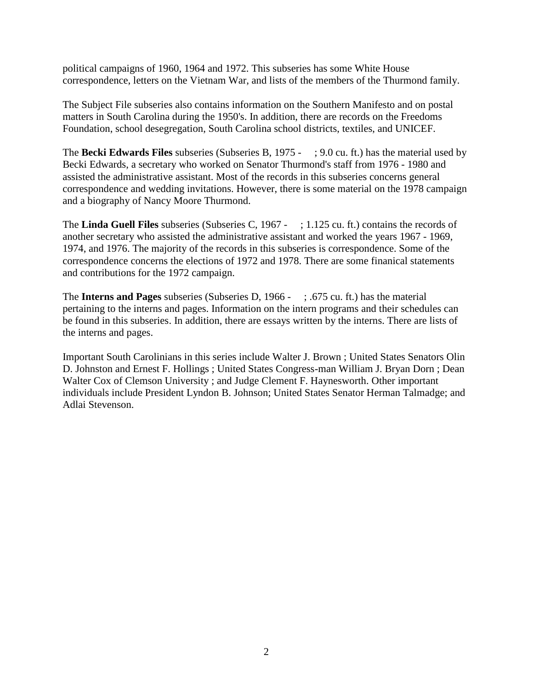political campaigns of 1960, 1964 and 1972. This subseries has some White House correspondence, letters on the Vietnam War, and lists of the members of the Thurmond family.

The Subject File subseries also contains information on the Southern Manifesto and on postal matters in South Carolina during the 1950's. In addition, there are records on the Freedoms Foundation, school desegregation, South Carolina school districts, textiles, and UNICEF.

The **Becki Edwards Files** subseries (Subseries B, 1975 - ; 9.0 cu. ft.) has the material used by Becki Edwards, a secretary who worked on Senator Thurmond's staff from 1976 - 1980 and assisted the administrative assistant. Most of the records in this subseries concerns general correspondence and wedding invitations. However, there is some material on the 1978 campaign and a biography of Nancy Moore Thurmond.

The **Linda Guell Files** subseries (Subseries C, 1967 - ; 1.125 cu. ft.) contains the records of another secretary who assisted the administrative assistant and worked the years 1967 - 1969, 1974, and 1976. The majority of the records in this subseries is correspondence. Some of the correspondence concerns the elections of 1972 and 1978. There are some finanical statements and contributions for the 1972 campaign.

The **Interns and Pages** subseries (Subseries D, 1966 - ; .675 cu. ft.) has the material pertaining to the interns and pages. Information on the intern programs and their schedules can be found in this subseries. In addition, there are essays written by the interns. There are lists of the interns and pages.

Important South Carolinians in this series include Walter J. Brown ; United States Senators Olin D. Johnston and Ernest F. Hollings ; United States Congress-man William J. Bryan Dorn ; Dean Walter Cox of Clemson University ; and Judge Clement F. Haynesworth. Other important individuals include President Lyndon B. Johnson; United States Senator Herman Talmadge; and Adlai Stevenson.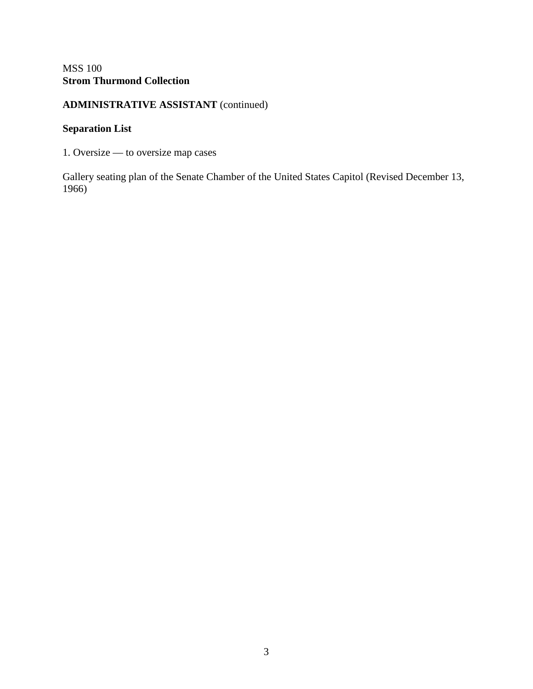#### MSS 100 **Strom Thurmond Collection**

#### **ADMINISTRATIVE ASSISTANT** (continued)

#### **Separation List**

1. Oversize — to oversize map cases

Gallery seating plan of the Senate Chamber of the United States Capitol (Revised December 13, 1966)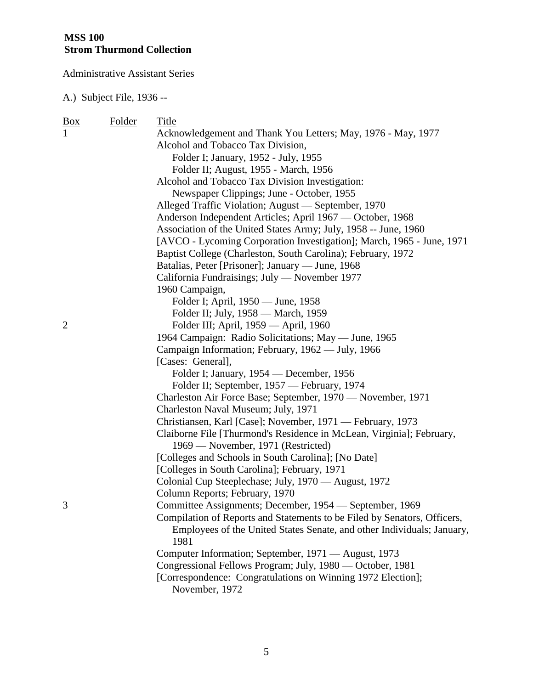| <u>Box</u>     | Folder | Title                                                                          |
|----------------|--------|--------------------------------------------------------------------------------|
| 1              |        | Acknowledgement and Thank You Letters; May, 1976 - May, 1977                   |
|                |        | Alcohol and Tobacco Tax Division,                                              |
|                |        | Folder I; January, 1952 - July, 1955                                           |
|                |        | Folder II; August, 1955 - March, 1956                                          |
|                |        | Alcohol and Tobacco Tax Division Investigation:                                |
|                |        | Newspaper Clippings; June - October, 1955                                      |
|                |        | Alleged Traffic Violation; August — September, 1970                            |
|                |        | Anderson Independent Articles; April 1967 — October, 1968                      |
|                |        | Association of the United States Army; July, 1958 -- June, 1960                |
|                |        | [AVCO - Lycoming Corporation Investigation]; March, 1965 - June, 1971          |
|                |        | Baptist College (Charleston, South Carolina); February, 1972                   |
|                |        | Batalias, Peter [Prisoner]; January — June, 1968                               |
|                |        | California Fundraisings; July — November 1977                                  |
|                |        | 1960 Campaign,                                                                 |
|                |        | Folder I; April, 1950 — June, 1958                                             |
|                |        | Folder II; July, 1958 — March, 1959                                            |
| $\overline{2}$ |        | Folder III; April, 1959 — April, 1960                                          |
|                |        | 1964 Campaign: Radio Solicitations; May — June, 1965                           |
|                |        | Campaign Information; February, 1962 - July, 1966                              |
|                |        | [Cases: General],                                                              |
|                |        | Folder I; January, 1954 — December, 1956                                       |
|                |        | Folder II; September, 1957 - February, 1974                                    |
|                |        | Charleston Air Force Base; September, 1970 — November, 1971                    |
|                |        | Charleston Naval Museum; July, 1971                                            |
|                |        | Christiansen, Karl [Case]; November, 1971 — February, 1973                     |
|                |        | Claiborne File [Thurmond's Residence in McLean, Virginia]; February,           |
|                |        | 1969 — November, 1971 (Restricted)                                             |
|                |        | [Colleges and Schools in South Carolina]; [No Date]                            |
|                |        | [Colleges in South Carolina]; February, 1971                                   |
|                |        | Colonial Cup Steeplechase; July, 1970 — August, 1972                           |
|                |        | Column Reports; February, 1970                                                 |
| 3              |        | Committee Assignments; December, 1954 - September, 1969                        |
|                |        | Compilation of Reports and Statements to be Filed by Senators, Officers,       |
|                |        | Employees of the United States Senate, and other Individuals; January,<br>1981 |
|                |        | Computer Information; September, 1971 — August, 1973                           |
|                |        | Congressional Fellows Program; July, 1980 - October, 1981                      |
|                |        | [Correspondence: Congratulations on Winning 1972 Election];                    |
|                |        | November, 1972                                                                 |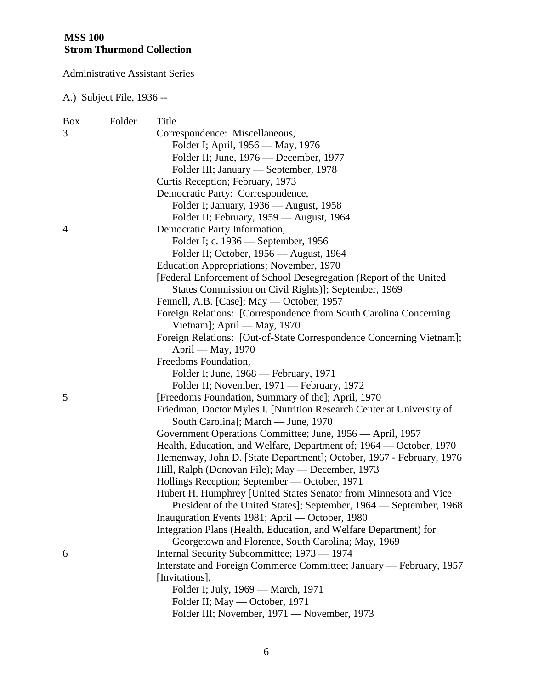| <u>Box</u>     | Folder | Title                                                                 |
|----------------|--------|-----------------------------------------------------------------------|
| $\overline{3}$ |        | Correspondence: Miscellaneous,                                        |
|                |        | Folder I; April, 1956 — May, 1976                                     |
|                |        | Folder II; June, 1976 — December, 1977                                |
|                |        | Folder III; January — September, 1978                                 |
|                |        | Curtis Reception; February, 1973                                      |
|                |        | Democratic Party: Correspondence,                                     |
|                |        | Folder I; January, 1936 - August, 1958                                |
|                |        | Folder II; February, 1959 - August, 1964                              |
| 4              |        | Democratic Party Information,                                         |
|                |        | Folder I; c. 1936 — September, 1956                                   |
|                |        | Folder II; October, 1956 — August, 1964                               |
|                |        | Education Appropriations; November, 1970                              |
|                |        | [Federal Enforcement of School Desegregation (Report of the United    |
|                |        | States Commission on Civil Rights)]; September, 1969                  |
|                |        | Fennell, A.B. [Case]; May — October, 1957                             |
|                |        | Foreign Relations: [Correspondence from South Carolina Concerning]    |
|                |        | Vietnam]; April — May, 1970                                           |
|                |        | Foreign Relations: [Out-of-State Correspondence Concerning Vietnam];  |
|                |        | April — May, 1970                                                     |
|                |        | Freedoms Foundation,                                                  |
|                |        | Folder I; June, 1968 — February, 1971                                 |
|                |        | Folder II; November, 1971 — February, 1972                            |
| 5              |        | [Freedoms Foundation, Summary of the]; April, 1970                    |
|                |        | Friedman, Doctor Myles I. [Nutrition Research Center at University of |
|                |        | South Carolina]; March — June, 1970                                   |
|                |        | Government Operations Committee; June, 1956 — April, 1957             |
|                |        | Health, Education, and Welfare, Department of; 1964 — October, 1970   |
|                |        | Hemenway, John D. [State Department]; October, 1967 - February, 1976  |
|                |        | Hill, Ralph (Donovan File); May - December, 1973                      |
|                |        | Hollings Reception; September — October, 1971                         |
|                |        | Hubert H. Humphrey [United States Senator from Minnesota and Vice     |
|                |        | President of the United States]; September, 1964 — September, 1968    |
|                |        | Inauguration Events 1981; April — October, 1980                       |
|                |        | Integration Plans (Health, Education, and Welfare Department) for     |
|                |        | Georgetown and Florence, South Carolina; May, 1969                    |
| 6              |        | Internal Security Subcommittee; 1973 — 1974                           |
|                |        | Interstate and Foreign Commerce Committee; January — February, 1957   |
|                |        | [Invitations],                                                        |
|                |        | Folder I; July, 1969 — March, 1971                                    |
|                |        | Folder II; May — October, 1971                                        |
|                |        | Folder III; November, 1971 — November, 1973                           |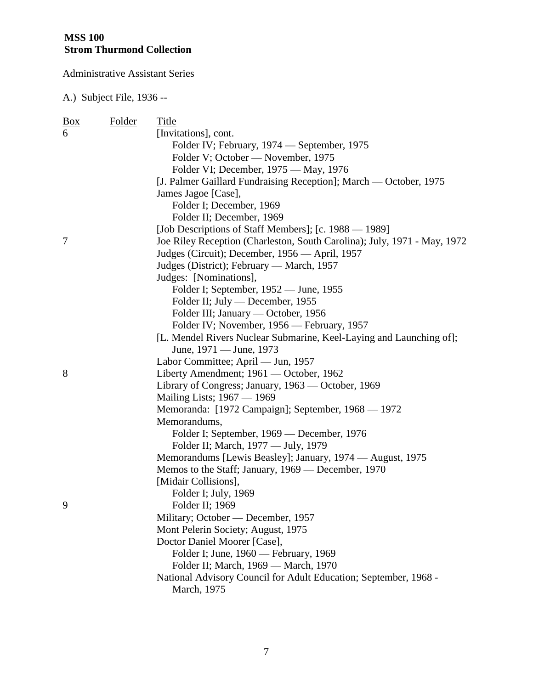| $\frac{Box}{angle}$ | Folder | Title                                                                    |
|---------------------|--------|--------------------------------------------------------------------------|
| 6                   |        | [Invitations], cont.                                                     |
|                     |        | Folder IV; February, 1974 — September, 1975                              |
|                     |        | Folder V; October - November, 1975                                       |
|                     |        | Folder VI; December, 1975 — May, 1976                                    |
|                     |        | [J. Palmer Gaillard Fundraising Reception]; March — October, 1975        |
|                     |        | James Jagoe [Case],                                                      |
|                     |        | Folder I; December, 1969                                                 |
|                     |        | Folder II; December, 1969                                                |
|                     |        | [Job Descriptions of Staff Members]; [c. 1988 — 1989]                    |
| 7                   |        | Joe Riley Reception (Charleston, South Carolina); July, 1971 - May, 1972 |
|                     |        | Judges (Circuit); December, 1956 — April, 1957                           |
|                     |        | Judges (District); February — March, 1957                                |
|                     |        | Judges: [Nominations],                                                   |
|                     |        | Folder I; September, 1952 — June, 1955                                   |
|                     |        | Folder II; July — December, 1955                                         |
|                     |        | Folder III; January — October, 1956                                      |
|                     |        | Folder IV; November, 1956 — February, 1957                               |
|                     |        | [L. Mendel Rivers Nuclear Submarine, Keel-Laying and Launching of];      |
|                     |        | June, 1971 — June, 1973                                                  |
|                     |        | Labor Committee; April — Jun, 1957                                       |
| 8                   |        | Liberty Amendment; 1961 — October, 1962                                  |
|                     |        | Library of Congress; January, 1963 — October, 1969                       |
|                     |        | Mailing Lists; 1967 — 1969                                               |
|                     |        | Memoranda: [1972 Campaign]; September, 1968 — 1972                       |
|                     |        | Memorandums,                                                             |
|                     |        | Folder I; September, 1969 — December, 1976                               |
|                     |        | Folder II; March, 1977 — July, 1979                                      |
|                     |        | Memorandums [Lewis Beasley]; January, 1974 — August, 1975                |
|                     |        | Memos to the Staff; January, 1969 — December, 1970                       |
|                     |        | [Midair Collisions],                                                     |
|                     |        | Folder I; July, 1969                                                     |
| 9                   |        | Folder II; 1969                                                          |
|                     |        | Military; October — December, 1957                                       |
|                     |        | Mont Pelerin Society; August, 1975                                       |
|                     |        | Doctor Daniel Moorer [Case],<br>Folder I; June, 1960 — February, 1969    |
|                     |        | Folder II; March, 1969 - March, 1970                                     |
|                     |        | National Advisory Council for Adult Education; September, 1968 -         |
|                     |        | March, 1975                                                              |
|                     |        |                                                                          |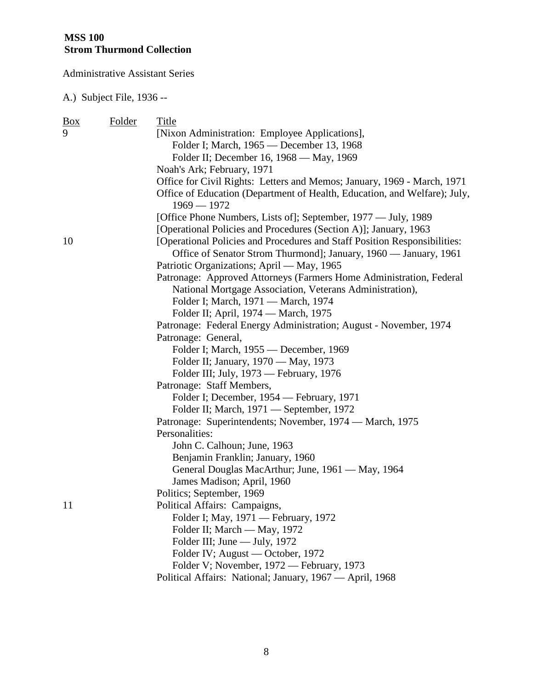| $\frac{Box}{}$ | <b>Folder</b> | Title                                                                                                                                         |
|----------------|---------------|-----------------------------------------------------------------------------------------------------------------------------------------------|
| 9              |               | [Nixon Administration: Employee Applications],                                                                                                |
|                |               | Folder I; March, 1965 — December 13, 1968                                                                                                     |
|                |               | Folder II; December 16, 1968 — May, 1969                                                                                                      |
|                |               | Noah's Ark; February, 1971                                                                                                                    |
|                |               | Office for Civil Rights: Letters and Memos; January, 1969 - March, 1971                                                                       |
|                |               | Office of Education (Department of Health, Education, and Welfare); July,<br>$1969 - 1972$                                                    |
|                |               | [Office Phone Numbers, Lists of]; September, 1977 — July, 1989                                                                                |
|                |               | [Operational Policies and Procedures (Section A)]; January, 1963                                                                              |
| 10             |               | [Operational Policies and Procedures and Staff Position Responsibilities:<br>Office of Senator Strom Thurmond]; January, 1960 — January, 1961 |
|                |               | Patriotic Organizations; April - May, 1965                                                                                                    |
|                |               | Patronage: Approved Attorneys (Farmers Home Administration, Federal                                                                           |
|                |               | National Mortgage Association, Veterans Administration),                                                                                      |
|                |               | Folder I; March, 1971 - March, 1974                                                                                                           |
|                |               | Folder II; April, 1974 — March, 1975                                                                                                          |
|                |               | Patronage: Federal Energy Administration; August - November, 1974                                                                             |
|                |               | Patronage: General,                                                                                                                           |
|                |               | Folder I; March, 1955 — December, 1969                                                                                                        |
|                |               | Folder II; January, 1970 — May, 1973                                                                                                          |
|                |               | Folder III; July, 1973 — February, 1976                                                                                                       |
|                |               | Patronage: Staff Members,                                                                                                                     |
|                |               | Folder I; December, 1954 — February, 1971                                                                                                     |
|                |               | Folder II; March, 1971 — September, 1972                                                                                                      |
|                |               | Patronage: Superintendents; November, 1974 — March, 1975                                                                                      |
|                |               | Personalities:                                                                                                                                |
|                |               | John C. Calhoun; June, 1963                                                                                                                   |
|                |               | Benjamin Franklin; January, 1960                                                                                                              |
|                |               | General Douglas MacArthur; June, 1961 — May, 1964                                                                                             |
|                |               | James Madison; April, 1960                                                                                                                    |
|                |               | Politics; September, 1969                                                                                                                     |
| <sup>11</sup>  |               | Political Affairs: Campaigns,                                                                                                                 |
|                |               | Folder I; May, 1971 - February, 1972                                                                                                          |
|                |               | Folder II; March — May, 1972                                                                                                                  |
|                |               | Folder III; June — July, 1972                                                                                                                 |
|                |               | Folder IV; August — October, 1972                                                                                                             |
|                |               | Folder V; November, 1972 — February, 1973                                                                                                     |
|                |               | Political Affairs: National; January, 1967 — April, 1968                                                                                      |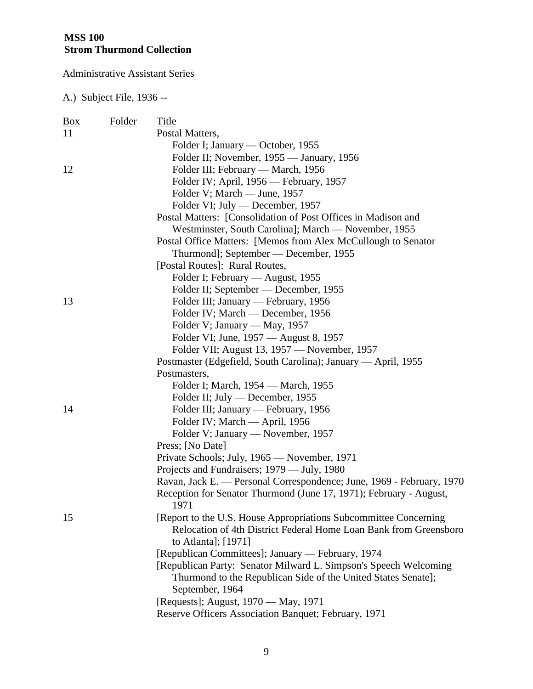| <u>Box</u> | Folder | Title                                                                                    |
|------------|--------|------------------------------------------------------------------------------------------|
| 11         |        | Postal Matters,                                                                          |
|            |        | Folder I; January — October, 1955                                                        |
|            |        | Folder II; November, 1955 — January, 1956                                                |
| 12         |        | Folder III; February — March, 1956                                                       |
|            |        | Folder IV; April, 1956 — February, 1957                                                  |
|            |        | Folder V; March — June, 1957                                                             |
|            |        | Folder VI; July — December, 1957                                                         |
|            |        | Postal Matters: [Consolidation of Post Offices in Madison and                            |
|            |        | Westminster, South Carolina]; March - November, 1955                                     |
|            |        | Postal Office Matters: [Memos from Alex McCullough to Senator                            |
|            |        | Thurmond]; September — December, 1955                                                    |
|            |        | [Postal Routes]: Rural Routes,                                                           |
|            |        | Folder I; February — August, 1955                                                        |
|            |        | Folder II; September — December, 1955                                                    |
| 13         |        | Folder III; January — February, 1956                                                     |
|            |        | Folder IV; March — December, 1956                                                        |
|            |        | Folder V; January — May, 1957                                                            |
|            |        | Folder VI; June, 1957 — August 8, 1957                                                   |
|            |        | Folder VII; August 13, 1957 — November, 1957                                             |
|            |        | Postmaster (Edgefield, South Carolina); January — April, 1955                            |
|            |        | Postmasters,                                                                             |
|            |        | Folder I; March, 1954 — March, 1955                                                      |
|            |        | Folder II; July — December, 1955                                                         |
| 14         |        | Folder III; January — February, 1956                                                     |
|            |        | Folder IV; March — April, 1956                                                           |
|            |        | Folder V; January — November, 1957                                                       |
|            |        | Press; [No Date]                                                                         |
|            |        | Private Schools; July, 1965 — November, 1971                                             |
|            |        | Projects and Fundraisers; 1979 — July, 1980                                              |
|            |        | Ravan, Jack E. — Personal Correspondence; June, 1969 - February, 1970                    |
|            |        | Reception for Senator Thurmond (June 17, 1971); February - August,<br>1971               |
| 15         |        | [Report to the U.S. House Appropriations Subcommittee Concerning                         |
|            |        | Relocation of 4th District Federal Home Loan Bank from Greensboro<br>to Atlanta]; [1971] |
|            |        | [Republican Committees]; January — February, 1974                                        |
|            |        | [Republican Party: Senator Milward L. Simpson's Speech Welcoming                         |
|            |        | Thurmond to the Republican Side of the United States Senate];<br>September, 1964         |
|            |        | [Requests]; August, 1970 — May, 1971                                                     |
|            |        | Reserve Officers Association Banquet; February, 1971                                     |
|            |        |                                                                                          |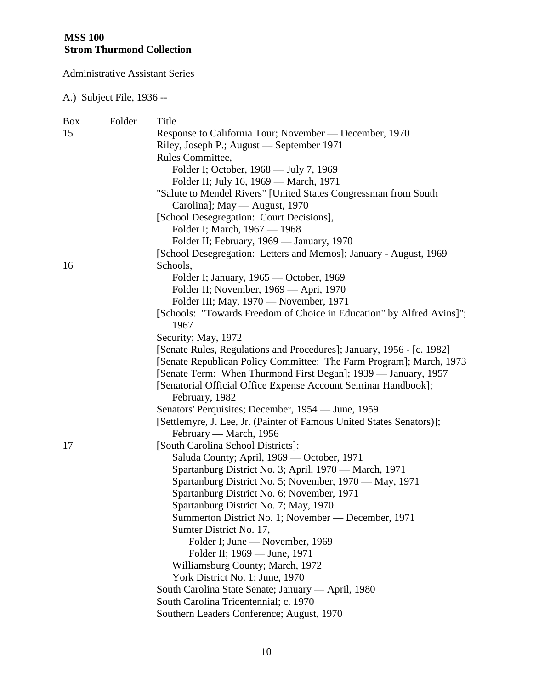| $\underline{Box}$ | <b>Folder</b> | Title                                                                 |
|-------------------|---------------|-----------------------------------------------------------------------|
| 15                |               | Response to California Tour; November — December, 1970                |
|                   |               | Riley, Joseph P.; August — September 1971                             |
|                   |               | Rules Committee,                                                      |
|                   |               | Folder I; October, 1968 — July 7, 1969                                |
|                   |               | Folder II; July 16, 1969 — March, 1971                                |
|                   |               | "Salute to Mendel Rivers" [United States Congressman from South       |
|                   |               | Carolina]; May — August, 1970                                         |
|                   |               | [School Desegregation: Court Decisions],                              |
|                   |               | Folder I; March, 1967 - 1968                                          |
|                   |               | Folder II; February, 1969 — January, 1970                             |
|                   |               | [School Desegregation: Letters and Memos]; January - August, 1969     |
| 16                |               | Schools,                                                              |
|                   |               | Folder I; January, 1965 — October, 1969                               |
|                   |               | Folder II; November, 1969 — Apri, 1970                                |
|                   |               | Folder III; May, 1970 — November, 1971                                |
|                   |               | [Schools: "Towards Freedom of Choice in Education" by Alfred Avins]"; |
|                   |               | 1967                                                                  |
|                   |               | Security; May, 1972                                                   |
|                   |               | [Senate Rules, Regulations and Procedures]; January, 1956 - [c. 1982] |
|                   |               | [Senate Republican Policy Committee: The Farm Program]; March, 1973   |
|                   |               | [Senate Term: When Thurmond First Began]; 1939 — January, 1957        |
|                   |               | [Senatorial Official Office Expense Account Seminar Handbook];        |
|                   |               | February, 1982                                                        |
|                   |               | Senators' Perquisites; December, 1954 — June, 1959                    |
|                   |               | [Settlemyre, J. Lee, Jr. (Painter of Famous United States Senators)]; |
|                   |               | February — March, 1956                                                |
| 17                |               | [South Carolina School Districts]:                                    |
|                   |               | Saluda County; April, 1969 - October, 1971                            |
|                   |               | Spartanburg District No. 3; April, 1970 - March, 1971                 |
|                   |               | Spartanburg District No. 5; November, 1970 — May, 1971                |
|                   |               | Spartanburg District No. 6; November, 1971                            |
|                   |               | Spartanburg District No. 7; May, 1970                                 |
|                   |               | Summerton District No. 1; November — December, 1971                   |
|                   |               | Sumter District No. 17,                                               |
|                   |               | Folder I; June — November, 1969                                       |
|                   |               | Folder II; 1969 — June, 1971                                          |
|                   |               | Williamsburg County; March, 1972                                      |
|                   |               | York District No. 1; June, 1970                                       |
|                   |               | South Carolina State Senate; January — April, 1980                    |
|                   |               | South Carolina Tricentennial; c. 1970                                 |
|                   |               | Southern Leaders Conference; August, 1970                             |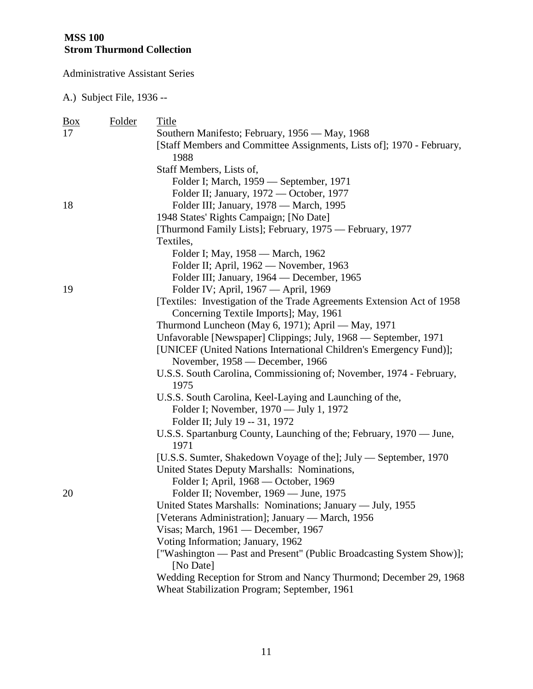| <u>Box</u> | Folder | Title                                                                             |
|------------|--------|-----------------------------------------------------------------------------------|
| 17         |        | Southern Manifesto; February, 1956 — May, 1968                                    |
|            |        | [Staff Members and Committee Assignments, Lists of]; 1970 - February,             |
|            |        | 1988                                                                              |
|            |        | Staff Members, Lists of,                                                          |
|            |        | Folder I; March, 1959 — September, 1971                                           |
|            |        | Folder II; January, 1972 — October, 1977                                          |
| 18         |        | Folder III; January, 1978 — March, 1995                                           |
|            |        | 1948 States' Rights Campaign; [No Date]                                           |
|            |        | [Thurmond Family Lists]; February, 1975 — February, 1977                          |
|            |        | Textiles,                                                                         |
|            |        | Folder I; May, 1958 — March, 1962                                                 |
|            |        | Folder II; April, 1962 - November, 1963                                           |
|            |        | Folder III; January, 1964 — December, 1965                                        |
| 19         |        | Folder IV; April, 1967 — April, 1969                                              |
|            |        | [Textiles: Investigation of the Trade Agreements Extension Act of 1958]           |
|            |        | Concerning Textile Imports]; May, 1961                                            |
|            |        | Thurmond Luncheon (May 6, 1971); April - May, 1971                                |
|            |        | Unfavorable [Newspaper] Clippings; July, 1968 - September, 1971                   |
|            |        | [UNICEF (United Nations International Children's Emergency Fund)];                |
|            |        | November, 1958 — December, 1966                                                   |
|            |        | U.S.S. South Carolina, Commissioning of; November, 1974 - February,               |
|            |        | 1975                                                                              |
|            |        | U.S.S. South Carolina, Keel-Laying and Launching of the,                          |
|            |        | Folder I; November, 1970 — July 1, 1972                                           |
|            |        | Folder II; July 19 -- 31, 1972                                                    |
|            |        | U.S.S. Spartanburg County, Launching of the; February, 1970 — June,<br>1971       |
|            |        | [U.S.S. Sumter, Shakedown Voyage of the]; July — September, 1970                  |
|            |        | United States Deputy Marshalls: Nominations,                                      |
|            |        | Folder I; April, 1968 — October, 1969                                             |
| 20         |        | Folder II; November, 1969 — June, 1975                                            |
|            |        | United States Marshalls: Nominations; January — July, 1955                        |
|            |        | [Veterans Administration]; January — March, 1956                                  |
|            |        | Visas; March, 1961 — December, 1967                                               |
|            |        | Voting Information; January, 1962                                                 |
|            |        | ["Washington — Past and Present" (Public Broadcasting System Show)];<br>[No Date] |
|            |        | Wedding Reception for Strom and Nancy Thurmond; December 29, 1968                 |
|            |        | Wheat Stabilization Program; September, 1961                                      |
|            |        |                                                                                   |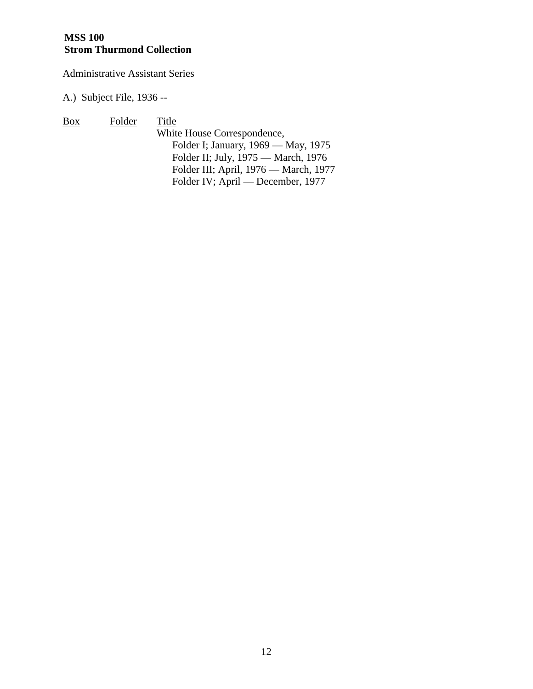#### **MSS 100 Strom Thurmond Collection**

Administrative Assistant Series

A.) Subject File, 1936 --

Box Folder Title White House Correspondence, Folder I; January, 1969 — May, 1975 Folder II; July, 1975 — March, 1976 Folder III; April, 1976 — March, 1977 Folder IV; April — December, 1977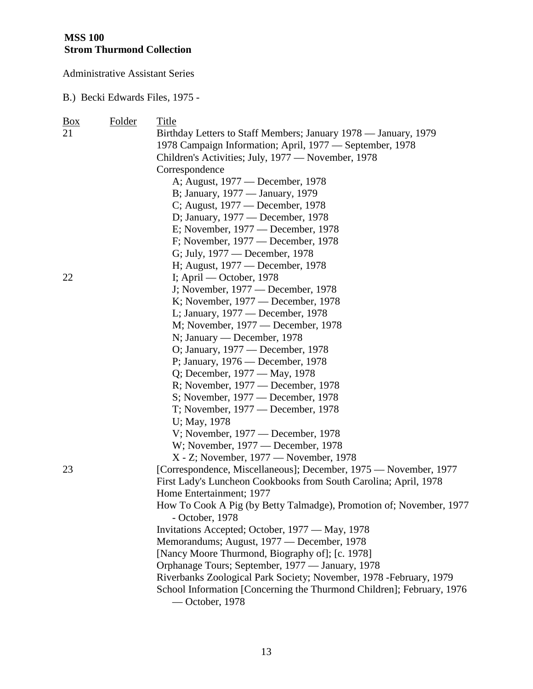B.) Becki Edwards Files, 1975 -

| <u>Box</u> | Folder | Title                                                                 |
|------------|--------|-----------------------------------------------------------------------|
| 21         |        | Birthday Letters to Staff Members; January 1978 - January, 1979       |
|            |        | 1978 Campaign Information; April, 1977 — September, 1978              |
|            |        | Children's Activities; July, 1977 — November, 1978                    |
|            |        | Correspondence                                                        |
|            |        | A; August, 1977 — December, 1978                                      |
|            |        | B; January, 1977 — January, 1979                                      |
|            |        | C; August, 1977 — December, 1978                                      |
|            |        | D; January, 1977 — December, 1978                                     |
|            |        | E; November, 1977 — December, 1978                                    |
|            |        | F; November, 1977 — December, 1978                                    |
|            |        | G; July, 1977 — December, 1978                                        |
|            |        | H; August, 1977 — December, 1978                                      |
| 22         |        | I; April — October, 1978                                              |
|            |        | J; November, 1977 — December, 1978                                    |
|            |        | K; November, 1977 — December, 1978                                    |
|            |        | L; January, 1977 — December, 1978                                     |
|            |        | M; November, 1977 — December, 1978                                    |
|            |        | N; January — December, 1978                                           |
|            |        | O; January, 1977 — December, 1978                                     |
|            |        | P; January, 1976 — December, 1978                                     |
|            |        | Q; December, 1977 — May, 1978                                         |
|            |        | R; November, 1977 — December, 1978                                    |
|            |        | S; November, 1977 — December, 1978                                    |
|            |        | T; November, 1977 — December, 1978                                    |
|            |        | U; May, 1978                                                          |
|            |        | V; November, $1977$ — December, 1978                                  |
|            |        | W; November, 1977 — December, 1978                                    |
|            |        | X - Z; November, 1977 — November, 1978                                |
| 23         |        | [Correspondence, Miscellaneous]; December, 1975 — November, 1977      |
|            |        | First Lady's Luncheon Cookbooks from South Carolina; April, 1978      |
|            |        | Home Entertainment; 1977                                              |
|            |        | How To Cook A Pig (by Betty Talmadge), Promotion of; November, 1977   |
|            |        | - October, 1978                                                       |
|            |        | Invitations Accepted; October, 1977 — May, 1978                       |
|            |        | Memorandums; August, 1977 — December, 1978                            |
|            |        | [Nancy Moore Thurmond, Biography of]; [c. 1978]                       |
|            |        | Orphanage Tours; September, 1977 — January, 1978                      |
|            |        | Riverbanks Zoological Park Society; November, 1978 - February, 1979   |
|            |        | School Information [Concerning the Thurmond Children]; February, 1976 |
|            |        | - October, 1978                                                       |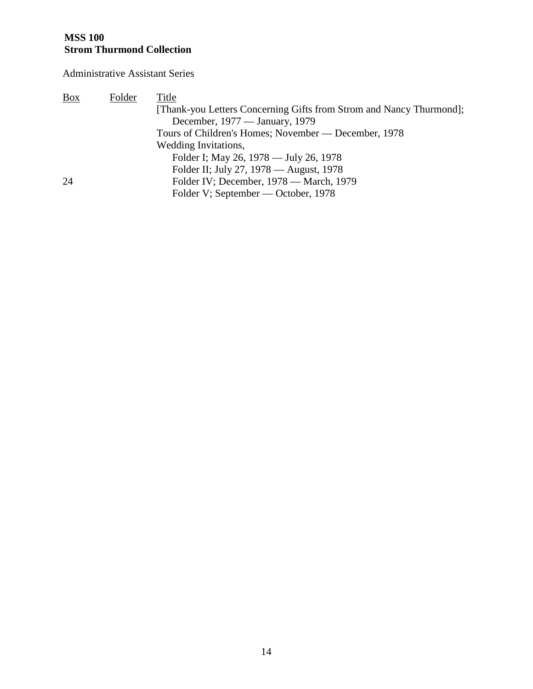#### **MSS 100 Strom Thurmond Collection**

Administrative Assistant Series

| <b>Box</b> | Folder | Title                                                               |
|------------|--------|---------------------------------------------------------------------|
|            |        | [Thank-you Letters Concerning Gifts from Strom and Nancy Thurmond]; |
|            |        | December, 1977 — January, 1979                                      |
|            |        | Tours of Children's Homes; November — December, 1978                |
|            |        | Wedding Invitations,                                                |
|            |        | Folder I; May 26, 1978 — July 26, 1978                              |
|            |        | Folder II; July 27, 1978 — August, 1978                             |
| 24         |        | Folder IV; December, 1978 — March, 1979                             |
|            |        | Folder V; September — October, 1978                                 |
|            |        |                                                                     |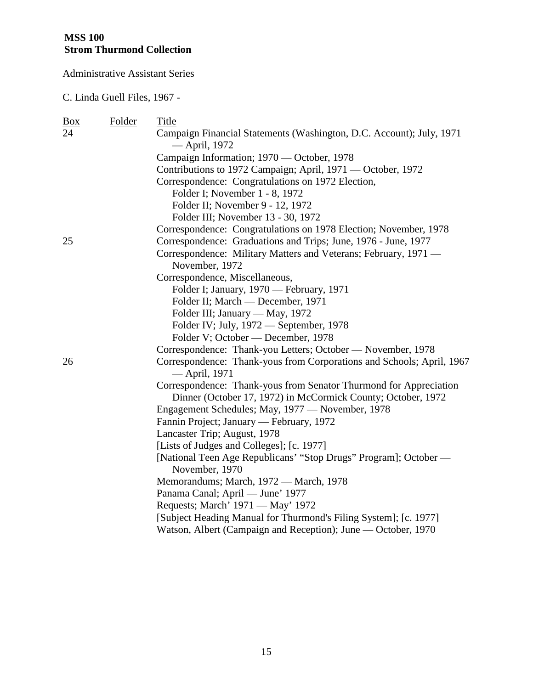C. Linda Guell Files, 1967 -

| <u>Box</u> | Folder | Title                                                                                  |
|------------|--------|----------------------------------------------------------------------------------------|
| 24         |        | Campaign Financial Statements (Washington, D.C. Account); July, 1971<br>— April, 1972  |
|            |        | Campaign Information; 1970 — October, 1978                                             |
|            |        | Contributions to 1972 Campaign; April, 1971 — October, 1972                            |
|            |        | Correspondence: Congratulations on 1972 Election,                                      |
|            |        | Folder I; November 1 - 8, 1972                                                         |
|            |        | Folder II; November 9 - 12, 1972                                                       |
|            |        | Folder III; November 13 - 30, 1972                                                     |
|            |        | Correspondence: Congratulations on 1978 Election; November, 1978                       |
| 25         |        | Correspondence: Graduations and Trips; June, 1976 - June, 1977                         |
|            |        | Correspondence: Military Matters and Veterans; February, 1971 —                        |
|            |        | November, 1972                                                                         |
|            |        | Correspondence, Miscellaneous,                                                         |
|            |        | Folder I; January, 1970 - February, 1971                                               |
|            |        | Folder II; March — December, 1971                                                      |
|            |        | Folder III; January — May, 1972                                                        |
|            |        | Folder IV; July, 1972 — September, 1978                                                |
|            |        | Folder V; October — December, 1978                                                     |
|            |        | Correspondence: Thank-you Letters; October — November, 1978                            |
| 26         |        | Correspondence: Thank-yous from Corporations and Schools; April, 1967<br>— April, 1971 |
|            |        | Correspondence: Thank-yous from Senator Thurmond for Appreciation                      |
|            |        | Dinner (October 17, 1972) in McCormick County; October, 1972                           |
|            |        | Engagement Schedules; May, 1977 - November, 1978                                       |
|            |        | Fannin Project; January — February, 1972                                               |
|            |        | Lancaster Trip; August, 1978                                                           |
|            |        | [Lists of Judges and Colleges]; [c. 1977]                                              |
|            |        | [National Teen Age Republicans' "Stop Drugs" Program]; October -<br>November, 1970     |
|            |        | Memorandums; March, 1972 - March, 1978                                                 |
|            |        | Panama Canal; April - June' 1977                                                       |
|            |        | Requests; March' 1971 — May' 1972                                                      |
|            |        | [Subject Heading Manual for Thurmond's Filing System]; [c. 1977]                       |
|            |        | Watson, Albert (Campaign and Reception); June — October, 1970                          |